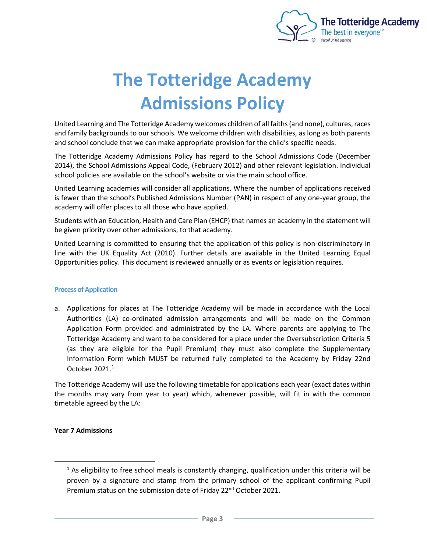

# **The Totteridge Academy Admissions Policy**

United Learning and The Totteridge Academy welcomes children of all faiths (and none), cultures, races and family backgrounds to our schools. We welcome children with disabilities, as long as both parents and school conclude that we can make appropriate provision for the child's specific needs.

The Totteridge Academy Admissions Policy has regard to the School Admissions Code (December 2014), the School Admissions Appeal Code, (February 2012) and other relevant legislation. Individual school policies are available on the school's website or via the main school office.

United Learning academies will consider all applications. Where the number of applications received is fewer than the school's Published Admissions Number (PAN) in respect of any one-year group, the academy will offer places to all those who have applied.

Students with an Education, Health and Care Plan (EHCP) that names an academy in the statement will be given priority over other admissions, to that academy.

United Learning is committed to ensuring that the application of this policy is non-discriminatory in line with the UK Equality Act (2010). Further details are available in the United Learning Equal Opportunities policy. This document is reviewed annually or as events or legislation requires.

## **Process of Application**

a. Applications for places at The Totteridge Academy will be made in accordance with the Local Authorities (LA) co-ordinated admission arrangements and will be made on the Common Application Form provided and administrated by the LA. Where parents are applying to The Totteridge Academy and want to be considered for a place under the Oversubscription Criteria 5 (as they are eligible for the Pupil Premium) they must also complete the Supplementary Information Form which MUST be returned fully completed to the Academy by Friday 22nd October 2021.<sup>1</sup>

The Totteridge Academy will use the following timetable for applications each year (exact dates within the months may vary from year to year) which, whenever possible, will fit in with the common timetable agreed by the LA:

## **Year 7 Admissions**

 $<sup>1</sup>$  As eligibility to free school meals is constantly changing, qualification under this criteria will be</sup> proven by a signature and stamp from the primary school of the applicant confirming Pupil Premium status on the submission date of Friday 22<sup>nd</sup> October 2021.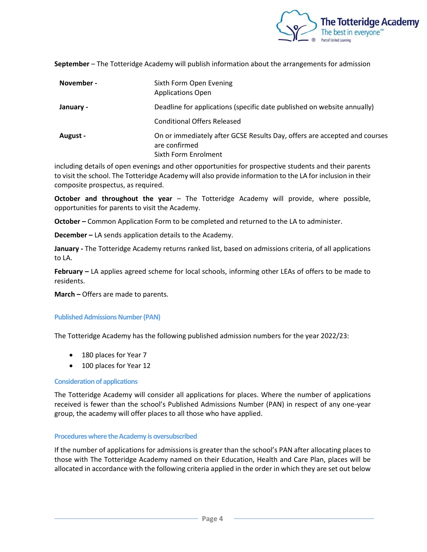

**September** – The Totteridge Academy will publish information about the arrangements for admission

| November -      | Sixth Form Open Evening<br><b>Applications Open</b>                                                                |
|-----------------|--------------------------------------------------------------------------------------------------------------------|
| January -       | Deadline for applications (specific date published on website annually)                                            |
|                 | <b>Conditional Offers Released</b>                                                                                 |
| <b>August -</b> | On or immediately after GCSE Results Day, offers are accepted and courses<br>are confirmed<br>Sixth Form Enrolment |

including details of open evenings and other opportunities for prospective students and their parents to visit the school. The Totteridge Academy will also provide information to the LA for inclusion in their composite prospectus, as required.

**October and throughout the year** – The Totteridge Academy will provide, where possible, opportunities for parents to visit the Academy.

**October –** Common Application Form to be completed and returned to the LA to administer.

**December –** LA sends application details to the Academy.

**January -** The Totteridge Academy returns ranked list, based on admissions criteria, of all applications to LA.

**February –** LA applies agreed scheme for local schools, informing other LEAs of offers to be made to residents.

**March –** Offers are made to parents.

#### **Published Admissions Number (PAN)**

The Totteridge Academy has the following published admission numbers for the year 2022/23:

- 180 places for Year 7
- 100 places for Year 12

#### **Consideration of applications**

The Totteridge Academy will consider all applications for places. Where the number of applications received is fewer than the school's Published Admissions Number (PAN) in respect of any one-year group, the academy will offer places to all those who have applied.

#### **Procedures where the Academy is oversubscribed**

If the number of applications for admissions is greater than the school's PAN after allocating places to those with The Totteridge Academy named on their Education, Health and Care Plan, places will be allocated in accordance with the following criteria applied in the order in which they are set out below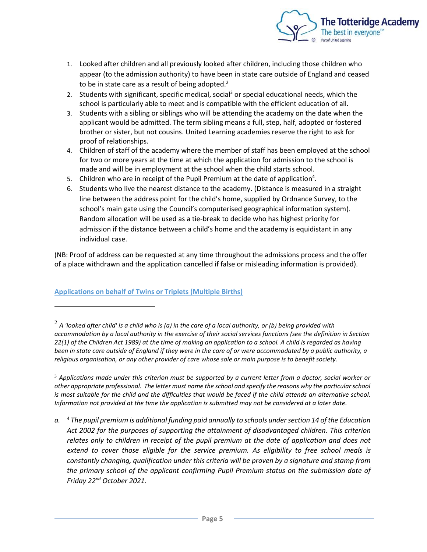

- 1. Looked after children and all previously looked after children, including those children who appear (to the admission authority) to have been in state care outside of England and ceased to be in state care as a result of being adopted. $2$
- 2. Students with significant, specific medical, social<sup>3</sup> or special educational needs, which the school is particularly able to meet and is compatible with the efficient education of all.
- 3. Students with a sibling or siblings who will be attending the academy on the date when the applicant would be admitted. The term sibling means a full, step, half, adopted or fostered brother or sister, but not cousins. United Learning academies reserve the right to ask for proof of relationships.
- 4. Children of staff of the academy where the member of staff has been employed at the school for two or more years at the time at which the application for admission to the school is made and will be in employment at the school when the child starts school.
- 5. Children who are in receipt of the Pupil Premium at the date of application<sup>4</sup>.
- 6. Students who live the nearest distance to the academy. (Distance is measured in a straight line between the address point for the child's home, supplied by Ordnance Survey, to the school's main gate using the Council's computerised geographical information system). Random allocation will be used as a tie-break to decide who has highest priority for admission if the distance between a child's home and the academy is equidistant in any individual case.

(NB: Proof of address can be requested at any time throughout the admissions process and the offer of a place withdrawn and the application cancelled if false or misleading information is provided).

## **Applications on behalf of Twins or Triplets (Multiple Births)**

<sup>3</sup> *Applications made under this criterion must be supported by a current letter from a doctor, social worker or other appropriate professional. The letter must name the school and specify the reasons why the particular school is most suitable for the child and the difficulties that would be faced if the child attends an alternative school. Information not provided at the time the application is submitted may not be considered at a later date.*

*a.* <sup>4</sup> *The pupil premium is additional funding paid annually to schools under section 14 of the Education Act 2002 for the purposes of supporting the attainment of disadvantaged children. This criterion*  relates only to children in receipt of the pupil premium at the date of application and does not *extend to cover those eligible for the service premium. As eligibility to free school meals is constantly changing, qualification under this criteria will be proven by a signature and stamp from the primary school of the applicant confirming Pupil Premium status on the submission date of Friday 22nd October 2021.*

 $^2$  A 'looked after child' is a child who is (a) in the care of a local authority, or (b) being provided with *accommodation by a local authority in the exercise of their social services functions (see the definition in Section 22(1) of the Children Act 1989) at the time of making an application to a school. A child is regarded as having been in state care outside of England if they were in the care of or were accommodated by a public authority, a religious organisation, or any other provider of care whose sole or main purpose is to benefit society.*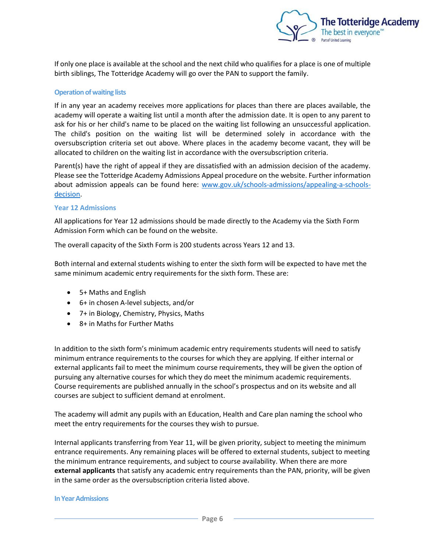

If only one place is available at the school and the next child who qualifies for a place is one of multiple birth siblings, The Totteridge Academy will go over the PAN to support the family.

#### **Operation of waiting lists**

If in any year an academy receives more applications for places than there are places available, the academy will operate a waiting list until a month after the admission date. It is open to any parent to ask for his or her child's name to be placed on the waiting list following an unsuccessful application. The child's position on the waiting list will be determined solely in accordance with the oversubscription criteria set out above. Where places in the academy become vacant, they will be allocated to children on the waiting list in accordance with the oversubscription criteria.

Parent(s) have the right of appeal if they are dissatisfied with an admission decision of the academy. Please see the Totteridge Academy Admissions Appeal procedure on the website. Further information about admission appeals can be found here: [www.gov.uk/schools-admissions/appealing-a-schools](http://www.gov.uk/schools-admissions/appealing-a-schools-decision)[decision.](http://www.gov.uk/schools-admissions/appealing-a-schools-decision)

#### **Year 12 Admissions**

All applications for Year 12 admissions should be made directly to the Academy via the Sixth Form Admission Form which can be found on the website.

The overall capacity of the Sixth Form is 200 students across Years 12 and 13.

Both internal and external students wishing to enter the sixth form will be expected to have met the same minimum academic entry requirements for the sixth form. These are:

- 5+ Maths and English
- 6+ in chosen A-level subjects, and/or
- 7+ in Biology, Chemistry, Physics, Maths
- 8+ in Maths for Further Maths

In addition to the sixth form's minimum academic entry requirements students will need to satisfy minimum entrance requirements to the courses for which they are applying. If either internal or external applicants fail to meet the minimum course requirements, they will be given the option of pursuing any alternative courses for which they do meet the minimum academic requirements. Course requirements are published annually in the school's prospectus and on its website and all courses are subject to sufficient demand at enrolment.

The academy will admit any pupils with an Education, Health and Care plan naming the school who meet the entry requirements for the courses they wish to pursue.

Internal applicants transferring from Year 11, will be given priority, subject to meeting the minimum entrance requirements. Any remaining places will be offered to external students, subject to meeting the minimum entrance requirements, and subject to course availability. When there are more **external applicants** that satisfy any academic entry requirements than the PAN, priority, will be given in the same order as the oversubscription criteria listed above.

#### **In Year Admissions**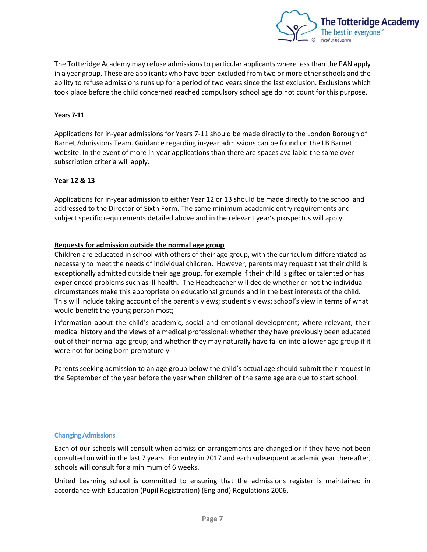

The Totteridge Academy may refuse admissions to particular applicants where less than the PAN apply in a year group. These are applicants who have been excluded from two or more other schools and the ability to refuse admissions runs up for a period of two years since the last exclusion. Exclusions which took place before the child concerned reached compulsory school age do not count for this purpose.

## **Years 7-11**

Applications for in-year admissions for Years 7-11 should be made directly to the London Borough of Barnet Admissions Team. Guidance regarding in-year admissions can be found on the LB Barnet website. In the event of more in-year applications than there are spaces available the same oversubscription criteria will apply.

## **Year 12 & 13**

Applications for in-year admission to either Year 12 or 13 should be made directly to the school and addressed to the Director of Sixth Form. The same minimum academic entry requirements and subject specific requirements detailed above and in the relevant year's prospectus will apply.

## **Requests for admission outside the normal age group**

Children are educated in school with others of their age group, with the curriculum differentiated as necessary to meet the needs of individual children. However, parents may request that their child is exceptionally admitted outside their age group, for example if their child is gifted or talented or has experienced problems such as ill health. The Headteacher will decide whether or not the individual circumstances make this appropriate on educational grounds and in the best interests of the child. This will include taking account of the parent's views; student's views; school's view in terms of what would benefit the young person most;

information about the child's academic, social and emotional development; where relevant, their medical history and the views of a medical professional; whether they have previously been educated out of their normal age group; and whether they may naturally have fallen into a lower age group if it were not for being born prematurely

Parents seeking admission to an age group below the child's actual age should submit their request in the September of the year before the year when children of the same age are due to start school.

## **Changing Admissions**

Each of our schools will consult when admission arrangements are changed or if they have not been consulted on within the last 7 years. For entry in 2017 and each subsequent academic year thereafter, schools will consult for a minimum of 6 weeks.

United Learning school is committed to ensuring that the admissions register is maintained in accordance with Education (Pupil Registration) (England) Regulations 2006.